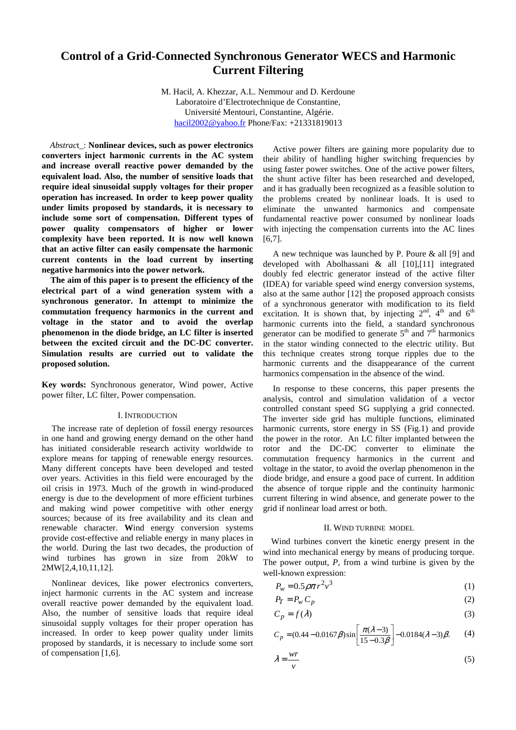# **Control of a Grid-Connected Synchronous Generator WECS and Harmonic Current Filtering**

M. Hacil, A. Khezzar, A.L. Nemmour and D. Kerdoune Laboratoire d'Electrotechnique de Constantine, Université Mentouri, Constantine, Algérie. [hacil2002@yahoo.fr](mailto:hacil2002@yahoo.fr) Phone/Fax: +21331819013

*Abstrac*t\_: **Nonlinear devices, such as power electronics converters inject harmonic currents in the AC system and increase overall reactive power demanded by the equivalent load. Also, the number of sensitive loads that require ideal sinusoidal supply voltages for their proper operation has increased. In order to keep power quality under limits proposed by standards, it is necessary to include some sort of compensation. Different types of power quality compensators of higher or lower complexity have been reported. It is now well known that an active filter can easily compensate the harmonic current contents in the load current by inserting negative harmonics into the power network.** 

**The aim of this paper is to present the efficiency of the electrical part of a wind generation system with a synchronous generator. In attempt to minimize the commutation frequency harmonics in the current and voltage in the stator and to avoid the overlap phenomenon in the diode bridge, an LC filter is inserted between the excited circuit and the DC-DC converter. Simulation results are curried out to validate the proposed solution.** 

**Key words:** Synchronous generator, Wind power, Active power filter, LC filter, Power compensation.

## I. INTRODUCTION

The increase rate of depletion of fossil energy resources in one hand and growing energy demand on the other hand has initiated considerable research activity worldwide to explore means for tapping of renewable energy resources. Many different concepts have been developed and tested over years. Activities in this field were encouraged by the oil crisis in 1973. Much of the growth in wind-produced energy is due to the development of more efficient turbines and making wind power competitive with other energy sources; because of its free availability and its clean and renewable character. **W**ind energy conversion systems provide cost-effective and reliable energy in many places in the world. During the last two decades, the production of wind turbines has grown in size from 20kW to 2MW[2,4,10,11,12].

Nonlinear devices, like power electronics converters, inject harmonic currents in the AC system and increase overall reactive power demanded by the equivalent load. Also, the number of sensitive loads that require ideal sinusoidal supply voltages for their proper operation has increased. In order to keep power quality under limits proposed by standards, it is necessary to include some sort of compensation [1,6].

Active power filters are gaining more popularity due to their ability of handling higher switching frequencies by using faster power switches. One of the active power filters, the shunt active filter has been researched and developed, and it has gradually been recognized as a feasible solution to the problems created by nonlinear loads. It is used to eliminate the unwanted harmonics and compensate fundamental reactive power consumed by nonlinear loads with injecting the compensation currents into the AC lines [6,7].

A new technique was launched by P. Poure & all [9] and developed with Abolhassani & all [10],[11] integrated doubly fed electric generator instead of the active filter (IDEA) for variable speed wind energy conversion systems, also at the same author [12] the proposed approach consists of a synchronous generator with modification to its field excitation. It is shown that, by injecting  $2<sup>nd</sup>$ ,  $4<sup>th</sup>$  and  $6<sup>th</sup>$ harmonic currents into the field, a standard synchronous generator can be modified to generate  $5<sup>th</sup>$  and  $7<sup>th</sup>$  harmonics in the stator winding connected to the electric utility. But this technique creates strong torque ripples due to the harmonic currents and the disappearance of the current harmonics compensation in the absence of the wind.

In response to these concerns, this paper presents the analysis, control and simulation validation of a vector controlled constant speed SG supplying a grid connected. The inverter side grid has multiple functions, eliminated harmonic currents, store energy in SS (Fig.1) and provide the power in the rotor. An LC filter implanted between the rotor and the DC-DC converter to eliminate the commutation frequency harmonics in the current and voltage in the stator, to avoid the overlap phenomenon in the diode bridge, and ensure a good pace of current. In addition the absence of torque ripple and the continuity harmonic current filtering in wind absence, and generate power to the grid if nonlinear load arrest or both.

#### II. WIND TURBINE MODEL

Wind turbines convert the kinetic energy present in the wind into mechanical energy by means of producing torque. The power output, *P*, from a wind turbine is given by the well-known expression:

$$
P_w = 0.5 \rho \pi r^2 v^3 \tag{1}
$$

$$
P_T = P_w C_p \tag{2}
$$

$$
C_p = f(\lambda) \tag{3}
$$

$$
C_p = (0.44 - 0.0167\beta)\sin\left[\frac{\pi(\lambda - 3)}{15 - 0.3\beta}\right] - 0.0184(\lambda - 3)\beta. \tag{4}
$$

$$
\lambda = \frac{wr}{v} \tag{5}
$$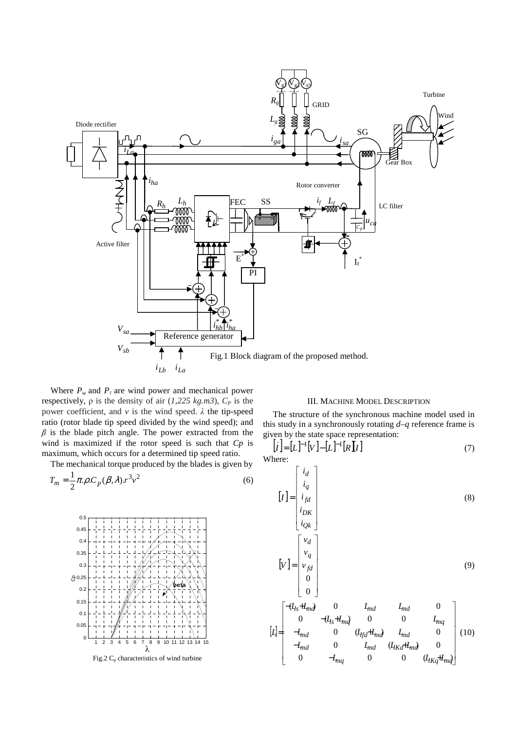

Where  $P_w$  and  $P_T$  are wind power and mechanical power respectively,  $ρ$  is the density of air  $(1,225 kg.m3)$ ,  $C<sub>P</sub>$  is the power coefficient, and  $\nu$  is the wind speed.  $\lambda$  the tip-speed ratio (rotor blade tip speed divided by the wind speed); and  $\beta$  is the blade pitch angle. The power extracted from the wind is maximized if the rotor speed is such that *Cp* is maximum, which occurs for a determined tip speed ratio.

The mechanical torque produced by the blades is given by

$$
T_m = \frac{1}{2}\pi \rho C_p(\beta, \lambda) r^3 v^2
$$
\n(6)



Fig.2  $C_p$  characteristics of wind turbine

## III. MACHINE MODEL DESCRIPTION

The structure of the synchronous machine model used in this study in a synchronously rotating *d*–*q* reference frame is given by the state space representation:

$$
\begin{bmatrix} \dot{\mathbf{I}} \end{bmatrix} = [\mathbf{L}]^{-1} [\mathbf{V}] - [\mathbf{L}]^{-1} [\mathbf{R}][\mathbf{I}] \tag{7}
$$

Where: Γ

$$
\begin{bmatrix}\ni_d \\
i_q \\
i_{pk} \\
i_{Qk}\n\end{bmatrix}
$$
\n(8)  
\n
$$
\begin{bmatrix}\nV_1 \\
V_2 \\
V_q \\
0 \\
0\n\end{bmatrix}
$$
\n(9)  
\n
$$
\begin{bmatrix}\nV_d \\
V_q \\
0 \\
0\n\end{bmatrix}
$$
\n(9)  
\n
$$
\begin{bmatrix}\n-(I_{ts} + I_{md}) & 0 & I_{md} & I_{md} & 0 \\
0 & -(I_{ts} + I_{mq}) & 0 & 0 & I_{mq} \\
-I_{md} & 0 & (I_{tfd} + I_{md}) & I_{md} & 0 \\
-I_{md} & 0 & I_{md} & (I_{Kd} + I_{md}) & 0 \\
0 & -I_{mq} & 0 & 0 & (I_{Kd} + I_{md})\n\end{bmatrix}
$$
\n(10)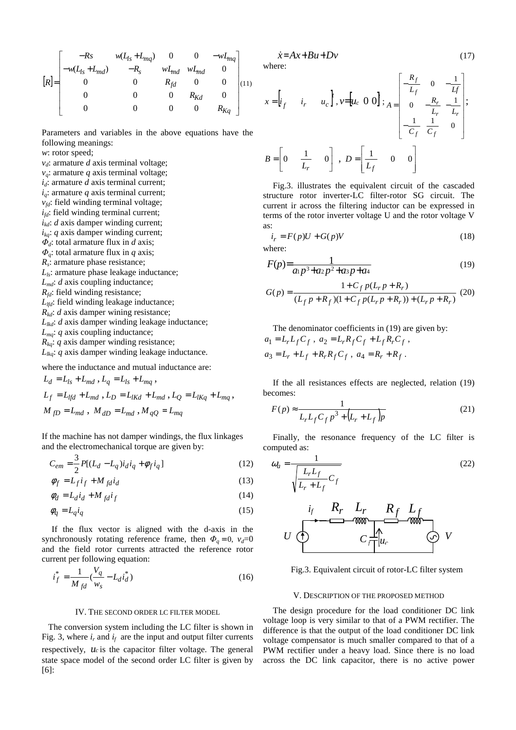$$
[R] = \begin{bmatrix} -Rs & w(L_{ls} + L_{mq}) & 0 & 0 & -wL_{mq} \\ -w(L_{ls} + L_{md}) & -R_s & wL_{md} & wL_{md} & 0 \\ 0 & 0 & R_{fd} & 0 & 0 \\ 0 & 0 & 0 & R_{Kd} & 0 \\ 0 & 0 & 0 & 0 & R_{Kq} \end{bmatrix} (11)
$$

Parameters and variables in the above equations have the following meanings:

*w*: rotor speed;

*vd*: armature *d* axis terminal voltage; *vq*: armature *q* axis terminal voltage; *id*: armature *d* axis terminal current; *iq*: armature *q* axis terminal current;  $v_{td}$ : field winding terminal voltage;  $i_{fd}$ : field winding terminal current;  $i_{kd}$ : *d* axis damper winding current;  $i_{ka}$ : *q* axis damper winding current; Φ*d*: total armature flux in *d* axis; Φ*q*: total armature flux in *q* axis; *Rs* : armature phase resistance; *Lls*: armature phase leakage inductance;  $L_{\text{md}}$ : *d* axis coupling inductance; *R*<sup>*fd*</sup>: field winding resistance; *L*<sub>*lfd</sub>*: field winding leakage inductance;</sub> *R<sub>kd</sub>*: *d* axis damper wining resistance; *Llkd*: *d* axis damper winding leakage inductance; *Lmq*: *q* axis coupling inductance;  $R_{kq}$ : *q* axis damper winding resistance;  $L_{lka}$ : *q* axis damper winding leakage inductance.

where the inductance and mutual inductance are:

$$
L_d = L_{ls} + L_{md}, L_q = L_{ls} + L_{mq},
$$
  
\n
$$
L_f = L_{lfd} + L_{md}, L_D = L_{lKd} + L_{md}, L_Q = L_{lKq} + L_{mq},
$$
  
\n
$$
M_{fD} = L_{md}, M_{dD} = L_{md}, M_{qQ} = L_{mq}
$$

If the machine has not damper windings, the flux linkages and the electromechanical torque are given by:

$$
C_{em} = \frac{3}{2} P[(L_d - L_q)i_d i_q + \phi_f i_q]
$$
 (12)

$$
\phi_f = L_f i_f + M_{fd} i_d \tag{13}
$$

$$
\phi_d = L_d i_d + M_{fd} i_f \tag{14}
$$

$$
\phi_q = L_q i_q \tag{15}
$$

If the flux vector is aligned with the d-axis in the synchronously rotating reference frame, then  $\Phi_a = 0$ ,  $v_d = 0$ and the field rotor currents attracted the reference rotor current per following equation:

$$
i_f^* = \frac{1}{M_{fd}}(\frac{V_q}{w_s} - L_d i_d^*)
$$
 (16)

## IV. THE SECOND ORDER LC FILTER MODEL

 The conversion system including the LC filter is shown in Fig. 3, where  $i_r$  and  $i_f$  are the input and output filter currents respectively, *u<sup>c</sup>* is the capacitor filter voltage. The general state space model of the second order LC filter is given by [6]:

$$
\dot{x} = Ax + Bu + Dv \tag{17}
$$
\nwhere:

$$
x = \begin{bmatrix} i_f & i_r & u_c \end{bmatrix}, v = \begin{bmatrix} u_c & 0 & 0 \end{bmatrix}; A = \begin{bmatrix} -\frac{R_f}{L_f} & 0 & -\frac{1}{L_f} \\ 0 & -\frac{R_r}{L_r} & -\frac{1}{L_r} \\ -\frac{1}{C_f} & \frac{1}{C_f} & 0 \end{bmatrix}; B = \begin{bmatrix} 0 & \frac{1}{L_r} & 0 \end{bmatrix}, D = \begin{bmatrix} \frac{1}{L_f} & 0 & 0 \end{bmatrix}
$$

Fig.3. illustrates the equivalent circuit of the cascaded structure rotor inverter-LC filter-rotor SG circuit. The current ir across the filtering inductor can be expressed in terms of the rotor inverter voltage U and the rotor voltage V as:

$$
i_r = F(p)U + G(p)V \tag{18}
$$

where:

$$
F(p) = \frac{1}{a_1 p^3 + a_2 p^2 + a_3 p + a_4} \tag{19}
$$

$$
G(p) = \frac{1 + C_f p(L_r p + R_r)}{(L_f p + R_f)(1 + C_f p(L_r p + R_r)) + (L_r p + R_r)}
$$
(20)

The denominator coefficients in (19) are given by:  $a_1 = L_r L_f C_f$ ,  $a_2 = L_r R_f C_f + L_f R_r C_f$ ,  $a_3 = L_r + L_f + R_r R_f C_f$ ,  $a_4 = R_r + R_f$ .

If the all resistances effects are neglected, relation (19) becomes:

$$
F(p) \approx \frac{1}{L_r L_f C_f p^3 + (L_r + L_f)p}
$$
\n(21)

Finally, the resonance frequency of the LC filter is computed as:

$$
\omega_a = \frac{1}{\sqrt{\frac{L_r L_f}{L_r + L_f} C_f}}
$$
\n
$$
U \underbrace{\begin{array}{c}\n\mathbf{i}_f & \mathbf{R}_r & \mathbf{L}_r & \mathbf{R}_f & \mathbf{L}_f \\
\hline\n\mathbf{W} & \mathbf{W} & \mathbf{W} \\
\hline\n\mathbf{W} & \mathbf{W} & \mathbf{W} \\
\hline\n\mathbf{W} & \mathbf{W} & \mathbf{W} \\
\hline\n\mathbf{W} & \mathbf{W} & \mathbf{W} \\
\hline\n\mathbf{W} & \mathbf{W} & \mathbf{W} \\
\hline\n\mathbf{W} & \mathbf{W} & \mathbf{W} \\
\hline\n\mathbf{W} & \mathbf{W} & \mathbf{W} \\
\hline\n\mathbf{W} & \mathbf{W} & \mathbf{W} \\
\hline\n\mathbf{W} & \mathbf{W} & \mathbf{W} \\
\hline\n\mathbf{W} & \mathbf{W} & \mathbf{W} \\
\hline\n\mathbf{W} & \mathbf{W} & \mathbf{W} \\
\hline\n\mathbf{W} & \mathbf{W} & \mathbf{W} \\
\hline\n\mathbf{W} & \mathbf{W} & \mathbf{W} \\
\hline\n\mathbf{W} & \mathbf{W} & \mathbf{W} \\
\hline\n\mathbf{W} & \mathbf{W} & \mathbf{W} \\
\hline\n\mathbf{W} & \mathbf{W} & \mathbf{W} \\
\hline\n\mathbf{W} & \mathbf{W} & \mathbf{W} \\
\hline\n\mathbf{W} & \mathbf{W} & \mathbf{W} \\
\hline\n\mathbf{W} & \mathbf{W} & \mathbf{W} \\
\hline\n\mathbf{W} & \mathbf{W} & \mathbf{W} \\
\hline\n\mathbf{W} & \mathbf{W} & \mathbf{W} \\
\hline\n\mathbf{W} & \mathbf{W} & \mathbf{W} \\
\hline\n\mathbf{W} & \mathbf{W} & \mathbf{W} \\
\hline\n\mathbf{W} & \mathbf{W} & \mathbf{W} \\
\hline\n\mathbf{W} & \mathbf{W} & \mathbf{W} \\
\hline\n\mathbf{W} & \mathbf{W} & \mathbf{W} \\
\hline\n\mathbf{W} & \mathbf{W} & \mathbf{
$$

Fig.3. Equivalent circuit of rotor-LC filter system

#### V. DESCRIPTION OF THE PROPOSED METHOD

The design procedure for the load conditioner DC link voltage loop is very similar to that of a PWM rectifier. The difference is that the output of the load conditioner DC link voltage compensator is much smaller compared to that of a PWM rectifier under a heavy load. Since there is no load across the DC link capacitor, there is no active power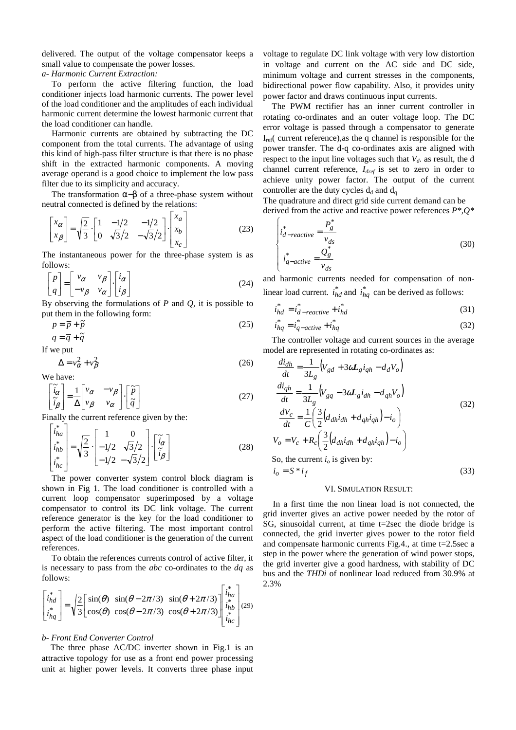delivered. The output of the voltage compensator keeps a small value to compensate the power losses.

*a- Harmonic Current Extraction:* 

To perform the active filtering function, the load conditioner injects load harmonic currents. The power level of the load conditioner and the amplitudes of each individual harmonic current determine the lowest harmonic current that the load conditioner can handle.

Harmonic currents are obtained by subtracting the DC component from the total currents. The advantage of using this kind of high-pass filter structure is that there is no phase shift in the extracted harmonic components. A moving average operand is a good choice to implement the low pass filter due to its simplicity and accuracy.

The transformation  $\alpha-\beta$  of a three-phase system without neutral connected is defined by the relations:

$$
\begin{bmatrix} x_{\alpha} \\ x_{\beta} \end{bmatrix} = \sqrt{\frac{2}{3}} \cdot \begin{bmatrix} 1 & -1/2 & -1/2 \\ 0 & \sqrt{3}/2 & -\sqrt{3}/2 \end{bmatrix} \cdot \begin{bmatrix} x_a \\ x_b \\ x_c \end{bmatrix}
$$
 (23)

The instantaneous power for the three-phase system is as follows:

$$
\begin{bmatrix} p \\ q \end{bmatrix} = \begin{bmatrix} v_{\alpha} & v_{\beta} \\ -v_{\beta} & v_{\alpha} \end{bmatrix} \cdot \begin{bmatrix} i_{\alpha} \\ i_{\beta} \end{bmatrix}
$$
 (24)

By observing the formulations of *P* and *Q*, it is possible to put them in the following form:

$$
p = \overline{p} + \tilde{p}
$$
  
 
$$
q = \overline{q} + \tilde{q}
$$
 (25)

If we put

$$
\Delta = v_{\alpha}^2 + v_{\beta}^2
$$
 (26)  
We have:

$$
\begin{bmatrix} \tilde{i}_{\alpha} \\ \tilde{i}_{\beta} \end{bmatrix} = \frac{1}{\Delta} \begin{bmatrix} v_{\alpha} & -v_{\beta} \\ v_{\beta} & v_{\alpha} \end{bmatrix} \cdot \begin{bmatrix} \tilde{p} \\ \tilde{q} \end{bmatrix}
$$
 (27)

Finally the current reference given by the:

$$
\begin{bmatrix} i_{ha}^* \\ i_{hb}^* \\ i_{hc}^* \end{bmatrix} = \sqrt{\frac{2}{3}} \cdot \begin{bmatrix} 1 & 0 \\ -1/2 & \sqrt{3}/2 \\ -1/2 & -\sqrt{3}/2 \end{bmatrix} \cdot \begin{bmatrix} \tilde{i}_{\alpha} \\ \tilde{i}_{\beta} \end{bmatrix}
$$
(28)

The power converter system control block diagram is shown in Fig 1. The load conditioner is controlled with a current loop compensator superimposed by a voltage compensator to control its DC link voltage. The current reference generator is the key for the load conditioner to perform the active filtering. The most important control aspect of the load conditioner is the generation of the current references.

To obtain the references currents control of active filter, it is necessary to pass from the *abc* co-ordinates to the *dq* as follows:

$$
\begin{bmatrix} i_{hd}^* \\ i_{hq}^* \end{bmatrix} = \sqrt{\frac{2}{3}} \begin{bmatrix} \sin(\theta) & \sin(\theta - 2\pi/3) & \sin(\theta + 2\pi/3) \\ \cos(\theta) & \cos(\theta - 2\pi/3) & \cos(\theta + 2\pi/3) \end{bmatrix} \begin{bmatrix} i_{ha}^* \\ i_{hb}^* \\ i_{hc}^* \end{bmatrix} (29)
$$

## *b- Front End Converter Control*

The three phase AC/DC inverter shown in Fig.1 is an attractive topology for use as a front end power processing unit at higher power levels. It converts three phase input voltage to regulate DC link voltage with very low distortion in voltage and current on the AC side and DC side, minimum voltage and current stresses in the components, bidirectional power flow capability. Also, it provides unity power factor and draws continuous input currents.

The PWM rectifier has an inner current controller in rotating co-ordinates and an outer voltage loop. The DC error voltage is passed through a compensator to generate  $I_{ref}$  current reference), as the q channel is responsible for the power transfer. The d-q co-ordinates axis are aligned with respect to the input line voltages such that  $V_d$  as result, the d channel current reference, *Idref* is set to zero in order to achieve unity power factor. The output of the current controller are the duty cycles  $d_d$  and  $d_q$ 

The quadrature and direct grid side current demand can be derived from the active and reactive power references *P\*,Q\**

$$
\begin{cases}\ni_{d-reactive}^{*} = \frac{P_g^{*}}{v_{ds}} \\
i_{q-cative}^{*} = \frac{Q_g^{*}}{v_{ds}}\n\end{cases}
$$
\n(30)

and harmonic currents needed for compensation of nonlinear load current.  $i_{hd}^*$  and  $i_{hq}^*$  can be derived as follows:

$$
i_{hd}^* = i_{d-reactive}^* + i_{hd}^* \tag{31}
$$

$$
i_{hq}^* = i_{q-active}^* + i_{hq}^* \tag{32}
$$

The controller voltage and current sources in the average model are represented in rotating co-ordinates as:

$$
\frac{di_{dh}}{dt} = \frac{1}{3L_g} \Big( V_{gd} + 3\omega L_g i_{qh} - d_d V_o \Big)
$$
  
\n
$$
\frac{di_{qh}}{dt} = \frac{1}{3L_g} \Big( V_{gq} - 3\omega L_g i_{dh} - d_{qh} V_o \Big)
$$
  
\n
$$
\frac{dV_c}{dt} = \frac{1}{C} \Big( \frac{3}{2} \Big( d_{dh} i_{dh} + d_{qh} i_{qh} \Big) - i_o \Big)
$$
  
\n
$$
V_o = V_c + R_c \Big( \frac{3}{2} \Big( d_{dh} i_{dh} + d_{qh} i_{qh} \Big) - i_o \Big)
$$
  
\nSo, the current  $i_o$  is given by:  
\n
$$
i_o = S * i_f
$$
\n(33)

## VI. SIMULATION RESULT:

In a first time the non linear load is not connected, the grid inverter gives an active power needed by the rotor of SG, sinusoidal current, at time t=2sec the diode bridge is connected, the grid inverter gives power to the rotor field and compensate harmonic currents Fig.4., at time t=2.5sec a step in the power where the generation of wind power stops, the grid inverter give a good hardness, with stability of DC bus and the *THDi* of nonlinear load reduced from 30.9% at 2.3%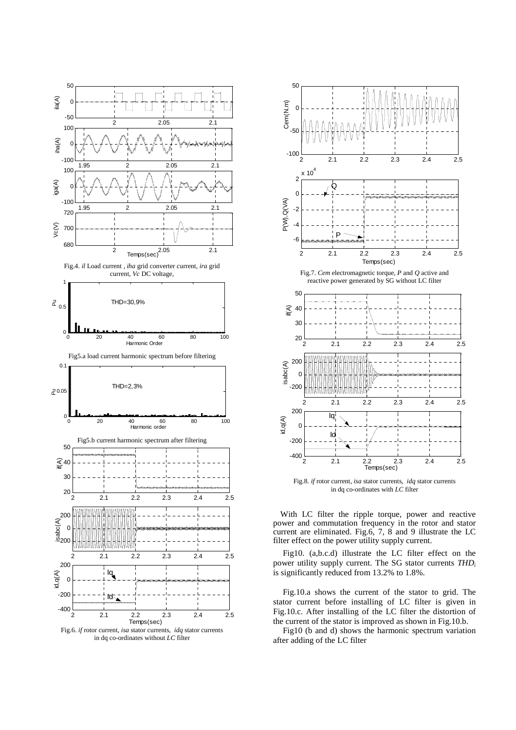

in dq co-ordinates without *LC* filter



Fig.8. *if* rotor current, *isa* stator currents, *idq* stator currents in dq co-ordinates with *LC* filter

With LC filter the ripple torque, power and reactive power and commutation frequency in the rotor and stator current are eliminated. Fig.6, 7, 8 and 9 illustrate the LC filter effect on the power utility supply current.

Fig10. (a,b.c.d) illustrate the LC filter effect on the power utility supply current. The SG stator currents *THD<sup>i</sup>* is significantly reduced from 13.2% to 1.8%.

Fig.10.a shows the current of the stator to grid. The stator current before installing of LC filter is given in Fig.10.c. After installing of the LC filter the distortion of the current of the stator is improved as shown in Fig.10.b.

Fig10 (b and d) shows the harmonic spectrum variation after adding of the LC filter